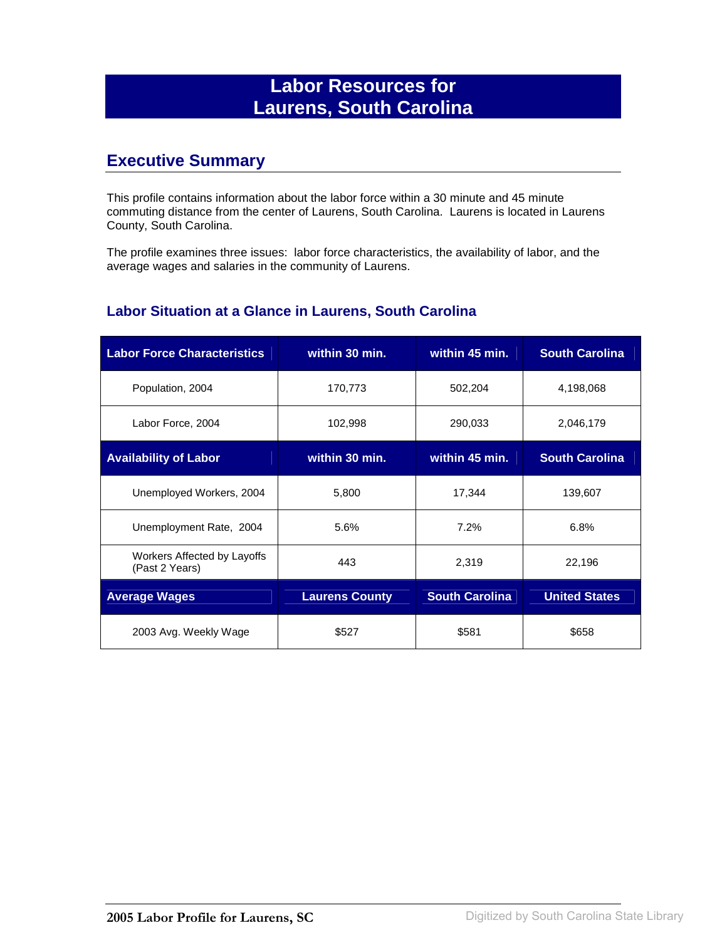## **Labor Resources for Laurens, South Carolina**

### **Executive Summary**

This profile contains information about the labor force within a 30 minute and 45 minute commuting distance from the center of Laurens, South Carolina. Laurens is located in Laurens County, South Carolina.

The profile examines three issues: labor force characteristics, the availability of labor, and the average wages and salaries in the community of Laurens.

#### **Labor Situation at a Glance in Laurens, South Carolina**

| <b>Labor Force Characteristics</b>            | within 30 min.        | within 45 min.        | <b>South Carolina</b> |
|-----------------------------------------------|-----------------------|-----------------------|-----------------------|
| Population, 2004                              | 170,773               | 502,204               | 4,198,068             |
| Labor Force, 2004                             | 102,998               | 290,033               | 2,046,179             |
| <b>Availability of Labor</b>                  | within 30 min.        | within 45 min.        | <b>South Carolina</b> |
| Unemployed Workers, 2004                      | 5,800                 | 17,344                | 139,607               |
| Unemployment Rate, 2004                       | 5.6%                  | 7.2%                  | 6.8%                  |
| Workers Affected by Layoffs<br>(Past 2 Years) | 443                   | 2,319                 | 22,196                |
| <b>Average Wages</b>                          | <b>Laurens County</b> | <b>South Carolina</b> | <b>United States</b>  |
| 2003 Avg. Weekly Wage                         | \$527                 | \$581                 | \$658                 |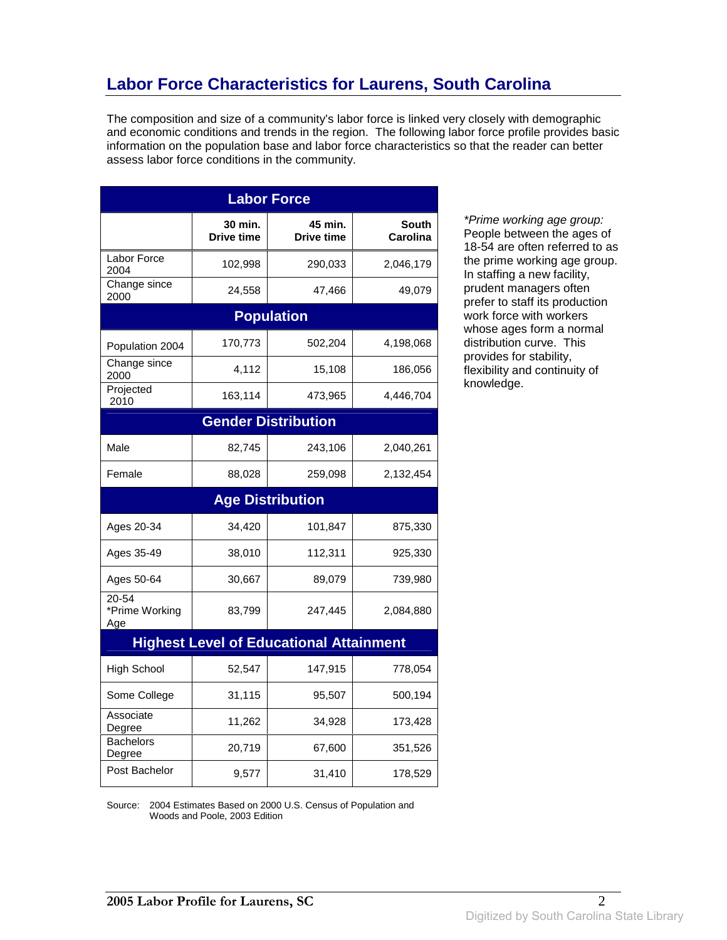## **Labor Force Characteristics for Laurens, South Carolina**

The composition and size of a community's labor force is linked very closely with demographic and economic conditions and trends in the region. The following labor force profile provides basic information on the population base and labor force characteristics so that the reader can better assess labor force conditions in the community.

| <b>Labor Force</b>             |                              |                                                |                          |
|--------------------------------|------------------------------|------------------------------------------------|--------------------------|
|                                | 30 min.<br><b>Drive time</b> | 45 min.<br><b>Drive time</b>                   | <b>South</b><br>Carolina |
| Labor Force<br>2004            | 102,998                      | 290,033                                        | 2,046,179                |
| Change since<br>2000           | 24,558                       | 47,466                                         | 49,079                   |
|                                |                              | <b>Population</b>                              |                          |
| Population 2004                | 170,773                      | 502,204                                        | 4,198,068                |
| Change since<br>2000           | 4,112                        | 15,108                                         | 186,056                  |
| Projected<br>2010              | 163,114                      | 473,965                                        | 4,446,704                |
|                                |                              | <b>Gender Distribution</b>                     |                          |
| Male                           | 82,745                       | 243,106                                        | 2,040,261                |
| Female                         | 88,028                       | 259,098                                        | 2,132,454                |
|                                |                              | <b>Age Distribution</b>                        |                          |
| Ages 20-34                     | 34,420                       | 101,847                                        | 875,330                  |
| Ages 35-49                     | 38,010                       | 112,311                                        | 925,330                  |
| Ages 50-64                     | 30,667                       | 89,079                                         | 739,980                  |
| 20-54<br>*Prime Working<br>Age | 83,799                       | 247,445                                        | 2,084,880                |
|                                |                              | <b>Highest Level of Educational Attainment</b> |                          |
| <b>High School</b>             | 52,547                       | 147,915                                        | 778,054                  |
| Some College                   | 31,115                       | 95,507                                         | 500,194                  |
| Associate<br>Degree            | 11,262                       | 34,928                                         | 173,428                  |
| <b>Bachelors</b><br>Degree     | 20,719                       | 67,600                                         | 351,526                  |
| Post Bachelor                  | 9,577                        | 31,410                                         | 178,529                  |

\*Prime working age group: People between the ages of 18-54 are often referred to as the prime working age group. In staffing a new facility, prudent managers often prefer to staff its production work force with workers whose ages form a normal distribution curve. This provides for stability, flexibility and continuity of knowledge.

Source: 2004 Estimates Based on 2000 U.S. Census of Population and Woods and Poole, 2003 Edition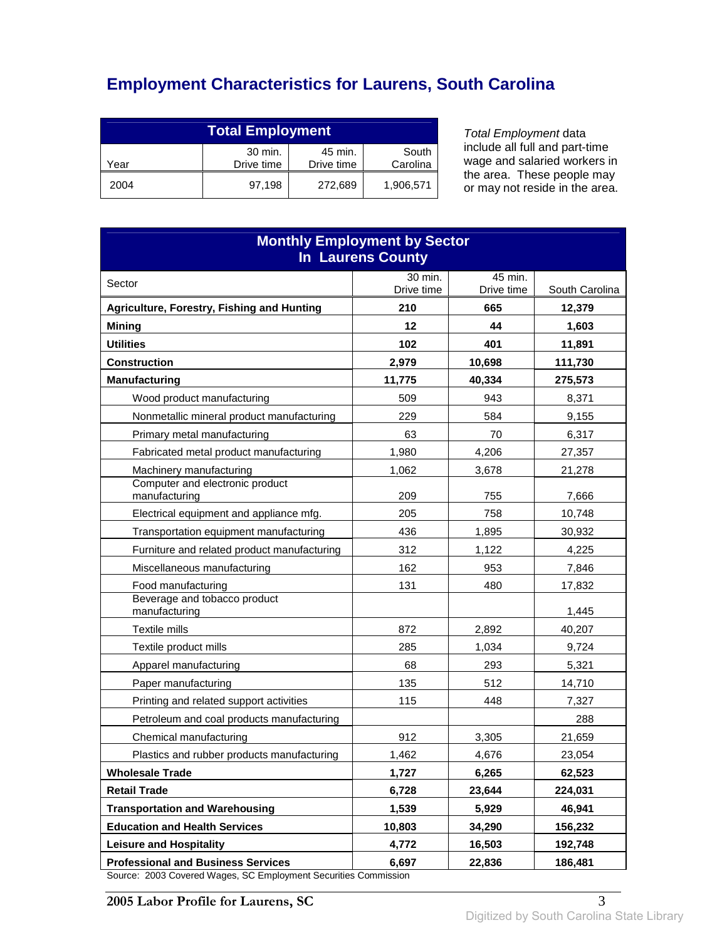# **Employment Characteristics for Laurens, South Carolina**

| <b>Total Employment</b>                                                     |        |         |           |
|-----------------------------------------------------------------------------|--------|---------|-----------|
| 30 min.<br>South<br>45 min.<br>Drive time<br>Carolina<br>Drive time<br>Year |        |         |           |
| 2004                                                                        | 97.198 | 272,689 | 1,906,571 |

Total Employment data include all full and part-time wage and salaried workers in the area. These people may or may not reside in the area.

| <b>Monthly Employment by Sector</b><br><b>In Laurens County</b>                                              |                       |                       |                |
|--------------------------------------------------------------------------------------------------------------|-----------------------|-----------------------|----------------|
| Sector                                                                                                       | 30 min.<br>Drive time | 45 min.<br>Drive time | South Carolina |
| Agriculture, Forestry, Fishing and Hunting                                                                   | 210                   | 665                   | 12,379         |
| <b>Mining</b>                                                                                                | 12                    | 44                    | 1,603          |
| <b>Utilities</b>                                                                                             | 102                   | 401                   | 11,891         |
| <b>Construction</b>                                                                                          | 2,979                 | 10,698                | 111,730        |
| <b>Manufacturing</b>                                                                                         | 11,775                | 40,334                | 275,573        |
| Wood product manufacturing                                                                                   | 509                   | 943                   | 8,371          |
| Nonmetallic mineral product manufacturing                                                                    | 229                   | 584                   | 9,155          |
| Primary metal manufacturing                                                                                  | 63                    | 70                    | 6,317          |
| Fabricated metal product manufacturing                                                                       | 1,980                 | 4,206                 | 27,357         |
| Machinery manufacturing                                                                                      | 1,062                 | 3,678                 | 21,278         |
| Computer and electronic product<br>manufacturing                                                             | 209                   | 755                   | 7,666          |
| Electrical equipment and appliance mfg.                                                                      | 205                   | 758                   | 10,748         |
| Transportation equipment manufacturing                                                                       | 436                   | 1,895                 | 30,932         |
| Furniture and related product manufacturing                                                                  | 312                   | 1,122                 | 4,225          |
| Miscellaneous manufacturing                                                                                  | 162                   | 953                   | 7,846          |
| Food manufacturing                                                                                           | 131                   | 480                   | 17,832         |
| Beverage and tobacco product<br>manufacturing                                                                |                       |                       | 1,445          |
| Textile mills                                                                                                | 872                   | 2,892                 | 40,207         |
| Textile product mills                                                                                        | 285                   | 1,034                 | 9,724          |
| Apparel manufacturing                                                                                        | 68                    | 293                   | 5,321          |
| Paper manufacturing                                                                                          | 135                   | 512                   | 14,710         |
| Printing and related support activities                                                                      | 115                   | 448                   | 7,327          |
| Petroleum and coal products manufacturing                                                                    |                       |                       | 288            |
| Chemical manufacturing                                                                                       | 912                   | 3,305                 | 21,659         |
| Plastics and rubber products manufacturing                                                                   | 1,462                 | 4,676                 | 23,054         |
| <b>Wholesale Trade</b>                                                                                       | 1,727                 | 6,265                 | 62,523         |
| <b>Retail Trade</b>                                                                                          | 6,728                 | 23,644                | 224,031        |
| <b>Transportation and Warehousing</b>                                                                        | 1,539                 | 5,929                 | 46,941         |
| <b>Education and Health Services</b>                                                                         | 10,803                | 34,290                | 156,232        |
| <b>Leisure and Hospitality</b>                                                                               | 4,772                 | 16,503                | 192,748        |
| <b>Professional and Business Services</b><br>Source: 2003 Covered Wages, SC Employment Securities Commission | 6,697                 | 22,836                | 186,481        |

Source: 2003 Covered Wages, SC Employment Securities Commission

**2005 Labor Profile for Laurens, SC** 3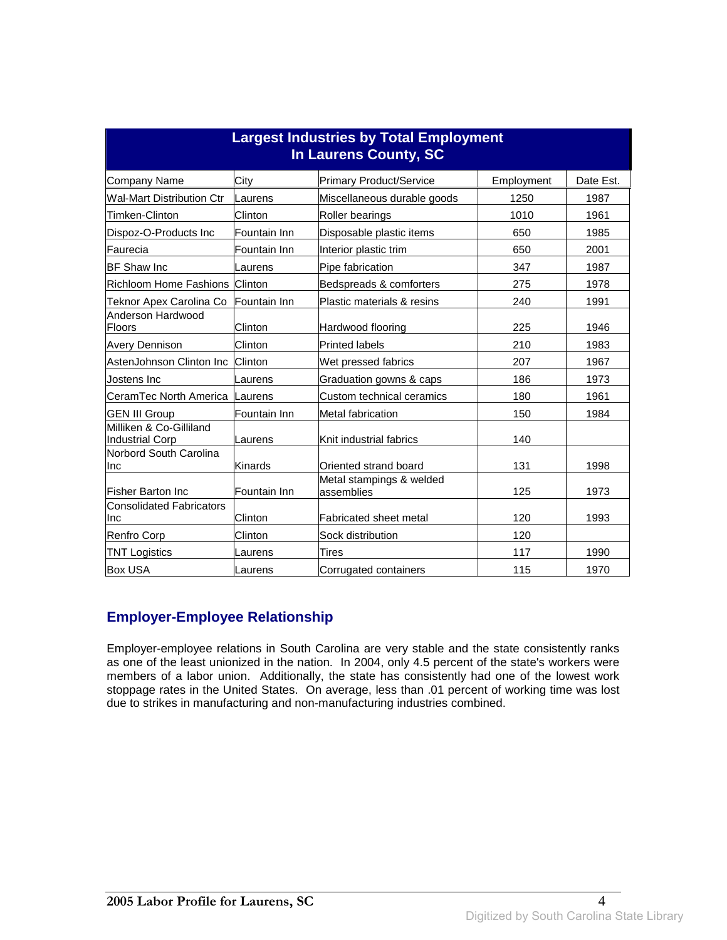| <b>Largest Industries by Total Employment</b><br><b>In Laurens County, SC</b> |               |                                        |            |           |
|-------------------------------------------------------------------------------|---------------|----------------------------------------|------------|-----------|
| <b>Company Name</b>                                                           | City          | <b>Primary Product/Service</b>         | Employment | Date Est. |
| <b>Wal-Mart Distribution Ctr</b>                                              | Laurens       | Miscellaneous durable goods            | 1250       | 1987      |
| Timken-Clinton                                                                | Clinton       | <b>Roller bearings</b>                 | 1010       | 1961      |
| Dispoz-O-Products Inc                                                         | lFountain Inn | Disposable plastic items               | 650        | 1985      |
| Faurecia                                                                      | Fountain Inn  | Interior plastic trim                  | 650        | 2001      |
| <b>BF Shaw Inc</b>                                                            | Laurens       | Pipe fabrication                       | 347        | 1987      |
| Richloom Home Fashions                                                        | Clinton       | Bedspreads & comforters                | 275        | 1978      |
| Teknor Apex Carolina Co                                                       | Fountain Inn  | Plastic materials & resins             | 240        | 1991      |
| Anderson Hardwood<br>Floors                                                   | Clinton       | Hardwood flooring                      | 225        | 1946      |
| <b>Avery Dennison</b>                                                         | Clinton       | <b>Printed labels</b>                  | 210        | 1983      |
| AstenJohnson Clinton Inc                                                      | Clinton       | Wet pressed fabrics                    | 207        | 1967      |
| Jostens Inc                                                                   | Laurens       | Graduation gowns & caps                | 186        | 1973      |
| CeramTec North America                                                        | Laurens       | Custom technical ceramics              | 180        | 1961      |
| <b>GEN III Group</b>                                                          | Fountain Inn  | Metal fabrication                      | 150        | 1984      |
| Milliken & Co-Gilliland<br>Industrial Corp                                    | Laurens       | Knit industrial fabrics                | 140        |           |
| Norbord South Carolina<br>Inc                                                 | Kinards       | Oriented strand board                  | 131        | 1998      |
| <b>Fisher Barton Inc</b>                                                      | lFountain Inn | Metal stampings & welded<br>assemblies | 125        | 1973      |
| <b>Consolidated Fabricators</b><br>Inc                                        | Clinton       | Fabricated sheet metal                 | 120        | 1993      |
| <b>Renfro Corp</b>                                                            | Clinton       | Sock distribution                      | 120        |           |
| <b>TNT Logistics</b>                                                          | Laurens       | Tires                                  | 117        | 1990      |
| <b>Box USA</b>                                                                | Laurens       | Corrugated containers                  | 115        | 1970      |

#### **Employer-Employee Relationship**

Employer-employee relations in South Carolina are very stable and the state consistently ranks as one of the least unionized in the nation. In 2004, only 4.5 percent of the state's workers were members of a labor union. Additionally, the state has consistently had one of the lowest work stoppage rates in the United States. On average, less than .01 percent of working time was lost due to strikes in manufacturing and non-manufacturing industries combined.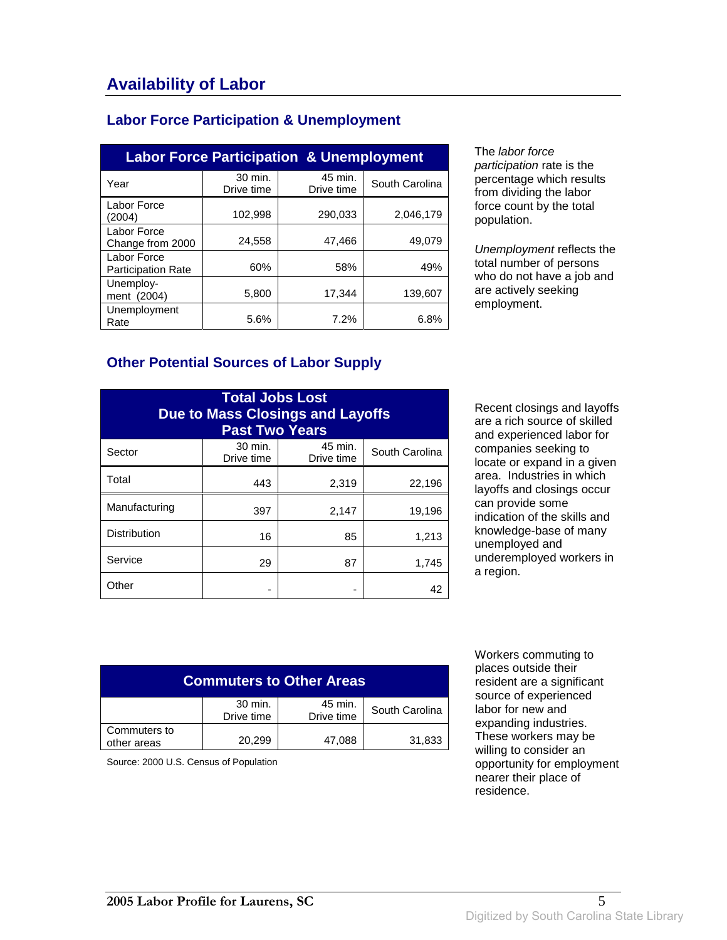#### **Labor Force Participation & Unemployment**

| <b>Labor Force Participation &amp; Unemployment</b> |                       |                       |                |
|-----------------------------------------------------|-----------------------|-----------------------|----------------|
| Year                                                | 30 min.<br>Drive time | 45 min.<br>Drive time | South Carolina |
| Labor Force<br>(2004)                               | 102,998               | 290,033               | 2,046,179      |
| Labor Force<br>Change from 2000                     | 24,558                | 47,466                | 49,079         |
| Labor Force<br><b>Participation Rate</b>            | 60%                   | 58%                   | 49%            |
| Unemploy-<br>ment (2004)                            | 5,800                 | 17.344                | 139.607        |
| Unemployment<br>Rate                                | 5.6%                  | 7.2%                  | 6.8%           |

The labor force participation rate is the percentage which results from dividing the labor force count by the total population.

Unemployment reflects the total number of persons who do not have a job and are actively seeking employment.

#### **Other Potential Sources of Labor Supply**

| <b>Total Jobs Lost</b><br><b>Due to Mass Closings and Layoffs</b><br><b>Past Two Years</b> |                       |                       |                |
|--------------------------------------------------------------------------------------------|-----------------------|-----------------------|----------------|
| Sector                                                                                     | 30 min.<br>Drive time | 45 min.<br>Drive time | South Carolina |
| Total                                                                                      | 443                   | 2,319                 | 22,196         |
| Manufacturing                                                                              | 397                   | 2,147                 | 19,196         |
| <b>Distribution</b>                                                                        | 16                    | 85                    | 1,213          |
| Service                                                                                    | 29                    | 87                    | 1,745          |
| Other                                                                                      |                       |                       | 42             |

Recent closings and layoffs are a rich source of skilled and experienced labor for companies seeking to locate or expand in a given area. Industries in which layoffs and closings occur can provide some indication of the skills and knowledge-base of many unemployed and underemployed workers in a region.

| <b>Commuters to Other Areas</b>                                  |        |        |        |  |
|------------------------------------------------------------------|--------|--------|--------|--|
| 30 min.<br>45 min.<br>South Carolina<br>Drive time<br>Drive time |        |        |        |  |
| Commuters to<br>other areas                                      | 20,299 | 47,088 | 31,833 |  |

Source: 2000 U.S. Census of Population

 Workers commuting to places outside their resident are a significant source of experienced labor for new and expanding industries. These workers may be willing to consider an opportunity for employment nearer their place of residence.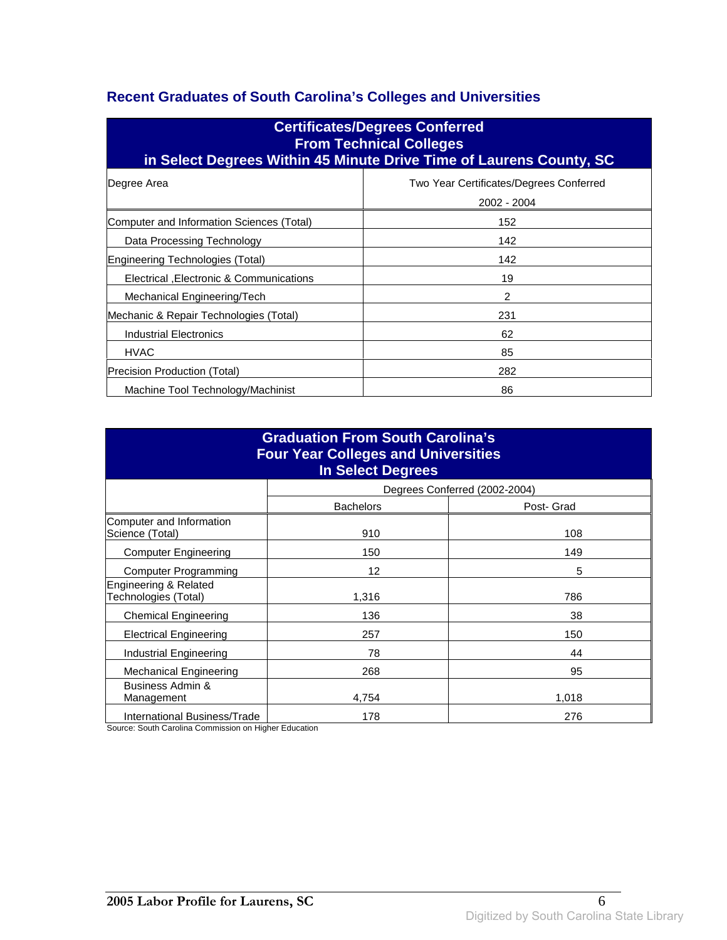### **Recent Graduates of South Carolina's Colleges and Universities**

| <b>Certificates/Degrees Conferred</b><br><b>From Technical Colleges</b><br>in Select Degrees Within 45 Minute Drive Time of Laurens County, SC |                                                        |  |  |
|------------------------------------------------------------------------------------------------------------------------------------------------|--------------------------------------------------------|--|--|
| Degree Area                                                                                                                                    | Two Year Certificates/Degrees Conferred<br>2002 - 2004 |  |  |
| Computer and Information Sciences (Total)                                                                                                      | 152                                                    |  |  |
| Data Processing Technology                                                                                                                     | 142                                                    |  |  |
| Engineering Technologies (Total)                                                                                                               | 142                                                    |  |  |
| Electrical , Electronic & Communications                                                                                                       | 19                                                     |  |  |
| Mechanical Engineering/Tech                                                                                                                    | 2                                                      |  |  |
| Mechanic & Repair Technologies (Total)                                                                                                         | 231                                                    |  |  |
| <b>Industrial Electronics</b>                                                                                                                  | 62                                                     |  |  |
| <b>HVAC</b>                                                                                                                                    | 85                                                     |  |  |
| Precision Production (Total)                                                                                                                   | 282                                                    |  |  |
| Machine Tool Technology/Machinist                                                                                                              | 86                                                     |  |  |

| <b>Graduation From South Carolina's</b><br><b>Four Year Colleges and Universities</b><br><b>In Select Degrees</b> |                  |                               |  |
|-------------------------------------------------------------------------------------------------------------------|------------------|-------------------------------|--|
|                                                                                                                   |                  | Degrees Conferred (2002-2004) |  |
|                                                                                                                   | <b>Bachelors</b> | Post- Grad                    |  |
| Computer and Information<br>Science (Total)                                                                       | 910              | 108                           |  |
| <b>Computer Engineering</b>                                                                                       | 150              | 149                           |  |
| <b>Computer Programming</b>                                                                                       | 12               | 5                             |  |
| Engineering & Related<br>Technologies (Total)                                                                     | 1,316            | 786                           |  |
| <b>Chemical Engineering</b>                                                                                       | 136              | 38                            |  |
| <b>Electrical Engineering</b>                                                                                     | 257              | 150                           |  |
| Industrial Engineering                                                                                            | 78               | 44                            |  |
| <b>Mechanical Engineering</b>                                                                                     | 268              | 95                            |  |
| Business Admin &<br>Management                                                                                    | 4,754            | 1,018                         |  |
| International Business/Trade                                                                                      | 178              | 276                           |  |

Source: South Carolina Commission on Higher Education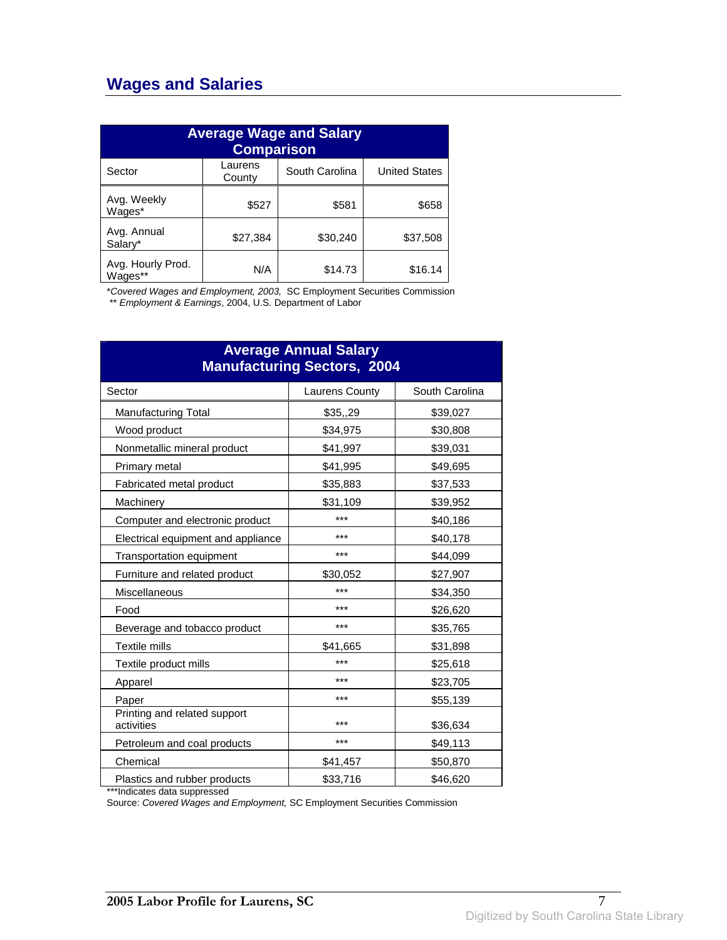### **Wages and Salaries**

| <b>Average Wage and Salary</b><br><b>Comparison</b> |                   |                |                      |
|-----------------------------------------------------|-------------------|----------------|----------------------|
| Sector                                              | Laurens<br>County | South Carolina | <b>United States</b> |
| Avg. Weekly<br>Wages*                               | \$527             | \$581          | \$658                |
| Avg. Annual<br>Salary*                              | \$27,384          | \$30,240       | \$37,508             |
| Avg. Hourly Prod.<br>Wages**                        | N/A               | \$14.73        | \$16.14              |

\*Covered Wages and Employment, 2003, SC Employment Securities Commission

\*\* Employment & Earnings, 2004, U.S. Department of Labor

| <b>Average Annual Salary</b><br><b>Manufacturing Sectors, 2004</b> |                |                |  |
|--------------------------------------------------------------------|----------------|----------------|--|
| Sector                                                             | Laurens County | South Carolina |  |
| <b>Manufacturing Total</b>                                         | \$35,,29       | \$39,027       |  |
| Wood product                                                       | \$34,975       | \$30,808       |  |
| Nonmetallic mineral product                                        | \$41,997       | \$39,031       |  |
| Primary metal                                                      | \$41,995       | \$49,695       |  |
| Fabricated metal product                                           | \$35,883       | \$37,533       |  |
| Machinery                                                          | \$31,109       | \$39,952       |  |
| Computer and electronic product                                    | ***            | \$40,186       |  |
| Electrical equipment and appliance                                 | ***            | \$40,178       |  |
| <b>Transportation equipment</b>                                    | ***            | \$44,099       |  |
| Furniture and related product                                      | \$30,052       | \$27,907       |  |
| Miscellaneous                                                      | ***            | \$34,350       |  |
| Food                                                               | ***            | \$26,620       |  |
| Beverage and tobacco product                                       | ***            | \$35,765       |  |
| Textile mills                                                      | \$41,665       | \$31,898       |  |
| Textile product mills                                              | ***            | \$25,618       |  |
| Apparel                                                            | ***            | \$23,705       |  |
| Paper                                                              | ***            | \$55,139       |  |
| Printing and related support<br>activities                         | ***            | \$36,634       |  |
| Petroleum and coal products                                        | ***            | \$49,113       |  |
| Chemical                                                           | \$41,457       | \$50,870       |  |
| Plastics and rubber products                                       | \$33,716       | \$46,620       |  |

\*\*\*Indicates data suppressed

Source: Covered Wages and Employment, SC Employment Securities Commission